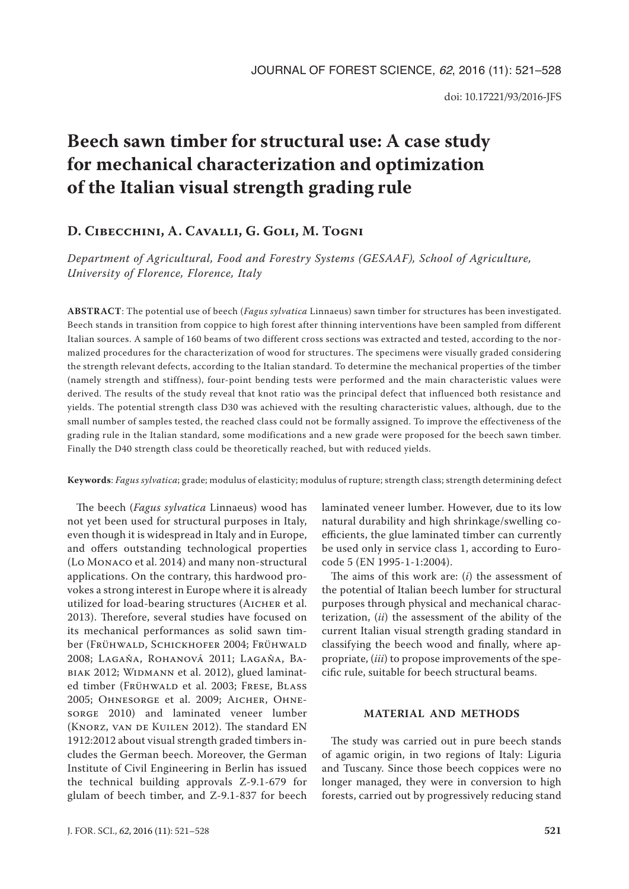# **Beech sawn timber for structural use: A case study for mechanical characterization and optimization of the Italian visual strength grading rule**

# **D. Cibecchini, A. Cavalli, G. Goli, M. Togni**

*Department of Agricultural, Food and Forestry Systems (GESAAF), School of Agriculture, University of Florence, Florence, Italy*

**ABSTRACT**: The potential use of beech (*Fagus sylvatica* Linnaeus) sawn timber for structures has been investigated. Beech stands in transition from coppice to high forest after thinning interventions have been sampled from different Italian sources. A sample of 160 beams of two different cross sections was extracted and tested, according to the normalized procedures for the characterization of wood for structures. The specimens were visually graded considering the strength relevant defects, according to the Italian standard. To determine the mechanical properties of the timber (namely strength and stiffness), four-point bending tests were performed and the main characteristic values were derived. The results of the study reveal that knot ratio was the principal defect that influenced both resistance and yields. The potential strength class D30 was achieved with the resulting characteristic values, although, due to the small number of samples tested, the reached class could not be formally assigned. To improve the effectiveness of the grading rule in the Italian standard, some modifications and a new grade were proposed for the beech sawn timber. Finally the D40 strength class could be theoretically reached, but with reduced yields.

## **Keywords**: *Fagus sylvatica*; grade; modulus of elasticity; modulus of rupture; strength class; strength determining defect

The beech (*Fagus sylvatica* Linnaeus) wood has not yet been used for structural purposes in Italy, even though it is widespread in Italy and in Europe, and offers outstanding technological properties (Lo Monaco et al. 2014) and many non-structural applications. On the contrary, this hardwood provokes a strong interest in Europe where it is already utilized for load-bearing structures (AICHER et al. 2013). Therefore, several studies have focused on its mechanical performances as solid sawn timber (Frühwald, Schickhofer 2004; Frühwald 2008; Lagaňa, Rohanová 2011; Lagaňa, Babiak 2012; Widmann et al. 2012), glued laminated timber (FRÜHWALD et al. 2003; FRESE, BLASS 2005; Ohnesorge et al. 2009; Aicher, Ohnesorge 2010) and laminated veneer lumber (Knorz, van de Kuilen 2012). The standard EN 1912:2012 about visual strength graded timbers includes the German beech. Moreover, the German Institute of Civil Engineering in Berlin has issued the technical building approvals Z-9.1-679 for glulam of beech timber, and Z-9.1-837 for beech

laminated veneer lumber. However, due to its low natural durability and high shrinkage/swelling coefficients, the glue laminated timber can currently be used only in service class 1, according to Eurocode 5 (EN 1995-1-1:2004).

The aims of this work are: (*i*) the assessment of the potential of Italian beech lumber for structural purposes through physical and mechanical characterization, (*ii*) the assessment of the ability of the current Italian visual strength grading standard in classifying the beech wood and finally, where appropriate, (*iii*) to propose improvements of the specific rule, suitable for beech structural beams.

# **MATERIAL AND METHODS**

The study was carried out in pure beech stands of agamic origin, in two regions of Italy: Liguria and Tuscany. Since those beech coppices were no longer managed, they were in conversion to high forests, carried out by progressively reducing stand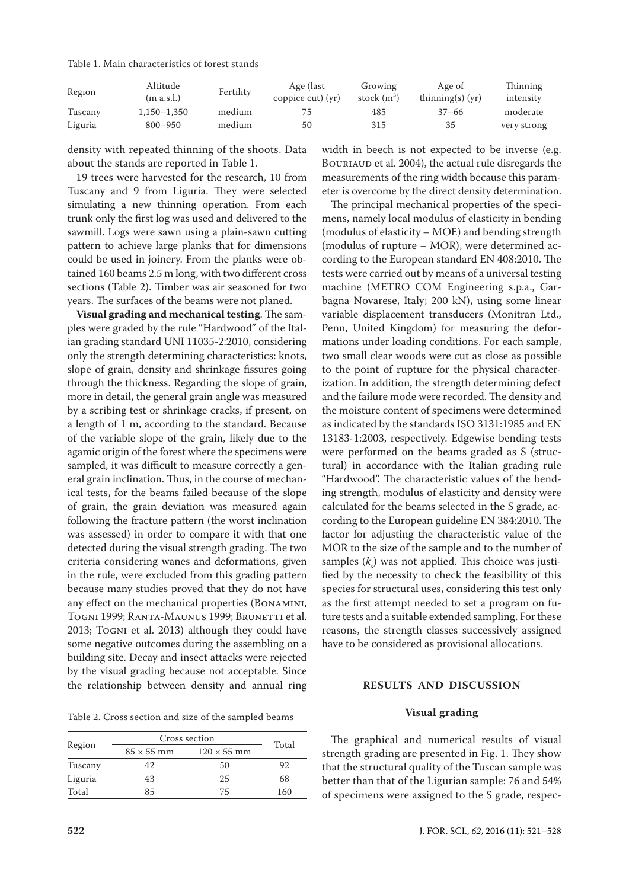Table 1. Main characteristics of forest stands

| Region  | Altitude<br>(m a.s.l.) | Fertility | Age (last<br>coppice $cut$ ) $(yr)$ | Growing<br>stock $(m^3)$ | Age of<br>thinning(s) $(yr)$ | Thinning<br>intensity |
|---------|------------------------|-----------|-------------------------------------|--------------------------|------------------------------|-----------------------|
| Tuscany | 1,150–1,350            | medium    | 75                                  | 485                      | $37 - 66$                    | moderate              |
| Liguria | $800 - 950$            | medium    | 50                                  | 315                      | 35                           | very strong           |

density with repeated thinning of the shoots. Data about the stands are reported in Table 1.

19 trees were harvested for the research, 10 from Tuscany and 9 from Liguria. They were selected simulating a new thinning operation. From each trunk only the first log was used and delivered to the sawmill. Logs were sawn using a plain-sawn cutting pattern to achieve large planks that for dimensions could be used in joinery. From the planks were obtained 160 beams 2.5 m long, with two different cross sections (Table 2). Timber was air seasoned for two years. The surfaces of the beams were not planed.

**Visual grading and mechanical testing**. The samples were graded by the rule "Hardwood" of the Italian grading standard UNI 11035-2:2010, considering only the strength determining characteristics: knots, slope of grain, density and shrinkage fissures going through the thickness. Regarding the slope of grain, more in detail, the general grain angle was measured by a scribing test or shrinkage cracks, if present, on a length of 1 m, according to the standard. Because of the variable slope of the grain, likely due to the agamic origin of the forest where the specimens were sampled, it was difficult to measure correctly a general grain inclination. Thus, in the course of mechanical tests, for the beams failed because of the slope of grain, the grain deviation was measured again following the fracture pattern (the worst inclination was assessed) in order to compare it with that one detected during the visual strength grading. The two criteria considering wanes and deformations, given in the rule, were excluded from this grading pattern because many studies proved that they do not have any effect on the mechanical properties (Bonamini, TOGNI 1999; RANTA-MAUNUS 1999; BRUNETTI et al. 2013; Togni et al. 2013) although they could have some negative outcomes during the assembling on a building site. Decay and insect attacks were rejected by the visual grading because not acceptable. Since the relationship between density and annual ring

Table 2. Cross section and size of the sampled beams

|         | Cross section     |                    |       |
|---------|-------------------|--------------------|-------|
| Region  | $85 \times 55$ mm | $120 \times 55$ mm | Total |
| Tuscany | 42.               | 50                 | 92    |
| Liguria | 43                | 25                 | 68    |
| Total   | 85                | 75                 | 160   |

width in beech is not expected to be inverse (e.g. BOURIAUD et al. 2004), the actual rule disregards the measurements of the ring width because this parameter is overcome by the direct density determination.

The principal mechanical properties of the specimens, namely local modulus of elasticity in bending (modulus of elasticity – MOE) and bending strength (modulus of rupture – MOR), were determined according to the European standard EN 408:2010. The tests were carried out by means of a universal testing machine (METRO COM Engineering s.p.a., Garbagna Novarese, Italy; 200 kN), using some linear variable displacement transducers (Monitran Ltd., Penn, United Kingdom) for measuring the deformations under loading conditions. For each sample, two small clear woods were cut as close as possible to the point of rupture for the physical characterization. In addition, the strength determining defect and the failure mode were recorded. The density and the moisture content of specimens were determined as indicated by the standards ISO 3131:1985 and EN 13183-1:2003, respectively. Edgewise bending tests were performed on the beams graded as S (structural) in accordance with the Italian grading rule "Hardwood". The characteristic values of the bending strength, modulus of elasticity and density were calculated for the beams selected in the S grade, according to the European guideline EN 384:2010. The factor for adjusting the characteristic value of the MOR to the size of the sample and to the number of samples  $(k<sub>s</sub>)$  was not applied. This choice was justified by the necessity to check the feasibility of this species for structural uses, considering this test only as the first attempt needed to set a program on future tests and a suitable extended sampling. For these reasons, the strength classes successively assigned have to be considered as provisional allocations.

#### **RESULTS AND DISCUSSION**

#### **Visual grading**

The graphical and numerical results of visual strength grading are presented in Fig. 1. They show that the structural quality of the Tuscan sample was better than that of the Ligurian sample: 76 and 54% of specimens were assigned to the S grade, respec-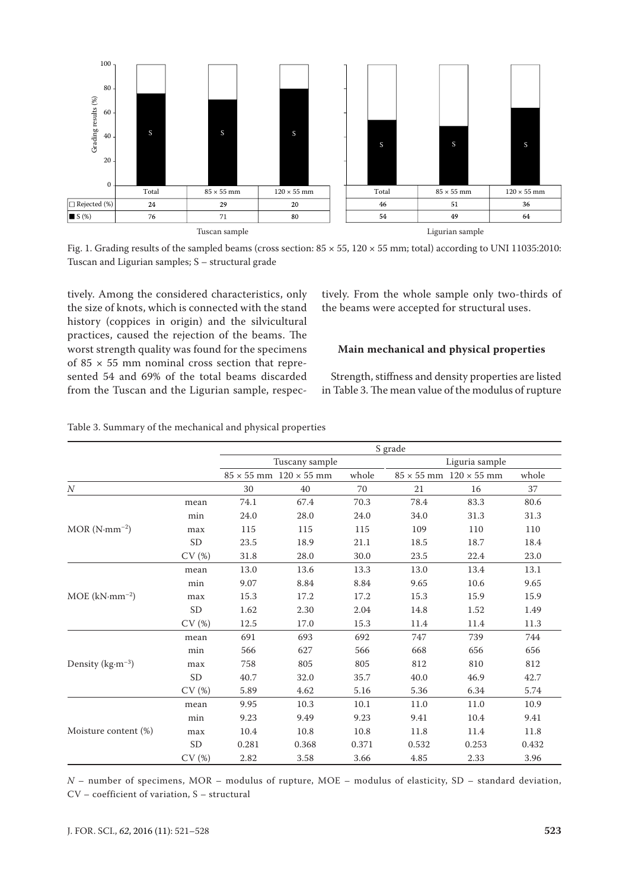

Fig. 1. Grading results of the sampled beams (cross section:  $85 \times 55$ ,  $120 \times 55$  mm; total) according to UNI 11035:2010: Tuscan and Ligurian samples; S – structural grade

tively. Among the considered characteristics, only the size of knots, which is connected with the stand history (coppices in origin) and the silvicultural practices, caused the rejection of the beams. The worst strength quality was found for the specimens of  $85 \times 55$  mm nominal cross section that represented 54 and 69% of the total beams discarded from the Tuscan and the Ligurian sample, respectively. From the whole sample only two-thirds of the beams were accepted for structural uses.

# **Main mechanical and physical properties**

Strength, stiffness and density properties are listed in Table 3. The mean value of the modulus of rupture

|                       |           | S grade |                                      |       |       |                                      |       |  |
|-----------------------|-----------|---------|--------------------------------------|-------|-------|--------------------------------------|-------|--|
|                       |           |         | Tuscany sample                       |       |       | Liguria sample                       |       |  |
|                       |           |         | $85 \times 55$ mm $120 \times 55$ mm | whole |       | $85 \times 55$ mm $120 \times 55$ mm | whole |  |
| $\boldsymbol{N}$      |           | 30      | 40                                   | 70    | 21    | 16                                   | 37    |  |
|                       | mean      | 74.1    | 67.4                                 | 70.3  | 78.4  | 83.3                                 | 80.6  |  |
|                       | min       | 24.0    | 28.0                                 | 24.0  | 34.0  | 31.3                                 | 31.3  |  |
| $MOR(N\cdot mm^{-2})$ | max       | 115     | 115                                  | 115   | 109   | 110                                  | 110   |  |
|                       | <b>SD</b> | 23.5    | 18.9                                 | 21.1  | 18.5  | 18.7                                 | 18.4  |  |
|                       | CV(%)     | 31.8    | 28.0                                 | 30.0  | 23.5  | 22.4                                 | 23.0  |  |
|                       | mean      | 13.0    | 13.6                                 | 13.3  | 13.0  | 13.4                                 | 13.1  |  |
|                       | min       | 9.07    | 8.84                                 | 8.84  | 9.65  | 10.6                                 | 9.65  |  |
| $MOE (kN·mm-2)$       | max       | 15.3    | 17.2                                 | 17.2  | 15.3  | 15.9                                 | 15.9  |  |
|                       | <b>SD</b> | 1.62    | 2.30                                 | 2.04  | 14.8  | 1.52                                 | 1.49  |  |
|                       | CV(%)     | 12.5    | 17.0                                 | 15.3  | 11.4  | 11.4                                 | 11.3  |  |
|                       | mean      | 691     | 693                                  | 692   | 747   | 739                                  | 744   |  |
|                       | min       | 566     | 627                                  | 566   | 668   | 656                                  | 656   |  |
| Density ( $kg·m-3$ )  | max       | 758     | 805                                  | 805   | 812   | 810                                  | 812   |  |
|                       | <b>SD</b> | 40.7    | 32.0                                 | 35.7  | 40.0  | 46.9                                 | 42.7  |  |
|                       | CV(%)     | 5.89    | 4.62                                 | 5.16  | 5.36  | 6.34                                 | 5.74  |  |
|                       | mean      | 9.95    | 10.3                                 | 10.1  | 11.0  | 11.0                                 | 10.9  |  |
|                       | min       | 9.23    | 9.49                                 | 9.23  | 9.41  | 10.4                                 | 9.41  |  |
| Moisture content (%)  | max       | 10.4    | 10.8                                 | 10.8  | 11.8  | 11.4                                 | 11.8  |  |
|                       | <b>SD</b> | 0.281   | 0.368                                | 0.371 | 0.532 | 0.253                                | 0.432 |  |
|                       | CV(%)     | 2.82    | 3.58                                 | 3.66  | 4.85  | 2.33                                 | 3.96  |  |

Table 3. Summary of the mechanical and physical properties

*N* – number of specimens, MOR – modulus of rupture, MOE – modulus of elasticity, SD – standard deviation, CV – coefficient of variation, S – structural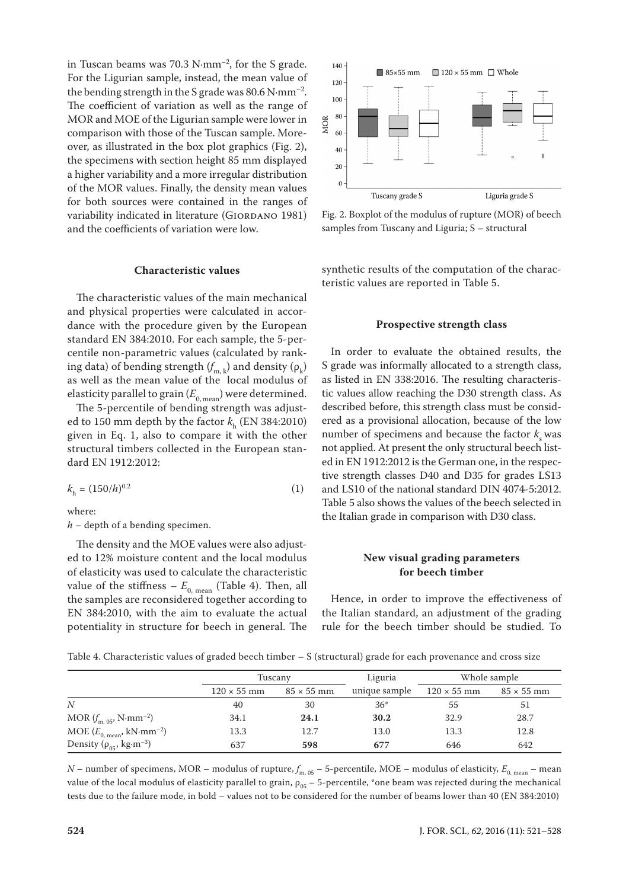in Tuscan beams was 70.3 N·mm–2, for the S grade. For the Ligurian sample, instead, the mean value of the bending strength in the S grade was 80.6 N·mm–2. The coefficient of variation as well as the range of MOR and MOE of the Ligurian sample were lower in comparison with those of the Tuscan sample. Moreover, as illustrated in the box plot graphics (Fig. 2), the specimens with section height 85 mm displayed a higher variability and a more irregular distribution of the MOR values. Finally, the density mean values for both sources were contained in the ranges of variability indicated in literature (GIORDANO 1981) and the coefficients of variation were low.

#### **Characteristic values**

The characteristic values of the main mechanical and physical properties were calculated in accordance with the procedure given by the European standard EN 384:2010. For each sample, the 5-percentile non-parametric values (calculated by ranking data) of bending strength  $(f_{m,\,k})$  and density  $(\rho_k)$ as well as the mean value of the local modulus of elasticity parallel to grain  $(E_{0, \text{mean}})$  were determined.

The 5-percentile of bending strength was adjusted to 150 mm depth by the factor  $k<sub>h</sub>$  (EN 384:2010) given in Eq. 1, also to compare it with the other structural timbers collected in the European standard EN 1912:2012:

$$
k_{\rm h} = (150/h)^{0.2} \tag{1}
$$

where:

*h* – depth of a bending specimen.

The density and the MOE values were also adjusted to 12% moisture content and the local modulus of elasticity was used to calculate the characteristic value of the stiffness –  $E_{0, \text{mean}}$  (Table 4). Then, all the samples are reconsidered together according to EN 384:2010, with the aim to evaluate the actual potentiality in structure for beech in general. The



Fig. 2. Boxplot of the modulus of rupture (MOR) of beech samples from Tuscany and Liguria; S – structural

synthetic results of the computation of the characteristic values are reported in Table 5.

#### **Prospective strength class**

In order to evaluate the obtained results, the S grade was informally allocated to a strength class, as listed in EN 338:2016. The resulting characteristic values allow reaching the D30 strength class. As described before, this strength class must be considered as a provisional allocation, because of the low number of specimens and because the factor  $k<sub>s</sub>$  was not applied. At present the only structural beech listed in EN 1912:2012 is the German one, in the respective strength classes D40 and D35 for grades LS13 and LS10 of the national standard DIN 4074-5:2012. Table 5 also shows the values of the beech selected in the Italian grade in comparison with D30 class.

## **New visual grading parameters for beech timber**

Hence, in order to improve the effectiveness of the Italian standard, an adjustment of the grading rule for the beech timber should be studied. To

Table 4. Characteristic values of graded beech timber – S (structural) grade for each provenance and cross size

|                                                     |                    | Tuscanv           |               | Whole sample       |                   |
|-----------------------------------------------------|--------------------|-------------------|---------------|--------------------|-------------------|
|                                                     | $120 \times 55$ mm | $85 \times 55$ mm | unique sample | $120 \times 55$ mm | $85 \times 55$ mm |
| N                                                   | 40                 | 30                | $36*$         | 55                 | 51                |
| MOR $(f_{\text{m. 05}}^{\prime}, \text{N-mm}^{-2})$ | 34.1               | 24.1              | 30.2          | 32.9               | 28.7              |
| MOE $(E_{0, \text{mean}}, \text{kN-mm}^{-2})$       | 13.3               | 12.7              | 13.0          | 13.3               | 12.8              |
| Density ( $\rho_{05}$ , kg·m <sup>-3</sup> )        | 637                | 598               | 677           | 646                | 642               |

 $N$  – number of specimens, MOR – modulus of rupture,  $f_{m, 05}$  – 5-percentile, MOE – modulus of elasticity,  $E_{0, mean}$  – mean value of the local modulus of elasticity parallel to grain,  $\rho_{05}$  – 5-percentile, \*one beam was rejected during the mechanical tests due to the failure mode, in bold – values not to be considered for the number of beams lower than 40 (EN 384:2010)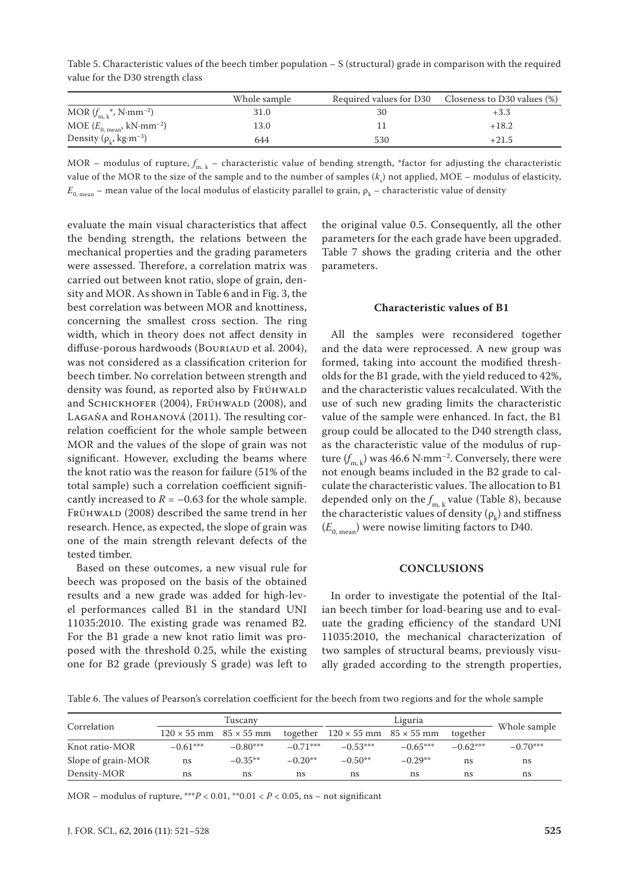Table 5. Characteristic values of the beech timber population – S (structural) grade in comparison with the required value for the D30 strength class

|                                                     | Whole sample |     | Required values for D30 Closeness to D30 values (%) |
|-----------------------------------------------------|--------------|-----|-----------------------------------------------------|
| MOR $(f_{m,k}^*$ , N·mm <sup>-2</sup> )             | 31.0         | 30  | $+3.3$                                              |
| MOE $(E_{0, \text{mean}}, kN \cdot \text{mm}^{-2})$ | 13.0         |     | $+18.2$                                             |
| Density ( $\rho_{\nu}$ , kg·m <sup>-3</sup> )       | 644          | 530 | $+21.5$                                             |

MOR – modulus of rupture,  $f_{m, k}$  – characteristic value of bending strength, \*factor for adjusting the characteristic value of the MOR to the size of the sample and to the number of samples (*k*<sub>s</sub>) not applied, MOE – modulus of elasticity,  $E_{0, \text{mean}}$  – mean value of the local modulus of elasticity parallel to grain,  $\rho_k$  – characteristic value of density

evaluate the main visual characteristics that affect the bending strength, the relations between the mechanical properties and the grading parameters were assessed. Therefore, a correlation matrix was carried out between knot ratio, slope of grain, density and MOR. As shown in Table 6 and in Fig. 3, the best correlation was between MOR and knottiness, concerning the smallest cross section. The ring width, which in theory does not affect density in diffuse-porous hardwoods (BOURIAUD et al. 2004), was not considered as a classification criterion for beech timber. No correlation between strength and density was found, as reported also by FRÜHWALD and SCHICKHOFER (2004), FRÜHWALD (2008), and Lagaňa and Rohanová (2011). The resulting correlation coefficient for the whole sample between MOR and the values of the slope of grain was not significant. However, excluding the beams where the knot ratio was the reason for failure (51% of the total sample) such a correlation coefficient significantly increased to  $R = -0.63$  for the whole sample. FRÜHWALD (2008) described the same trend in her research. Hence, as expected, the slope of grain was one of the main strength relevant defects of the tested timber.

Based on these outcomes, a new visual rule for beech was proposed on the basis of the obtained results and a new grade was added for high-level performances called B1 in the standard UNI 11035:2010. The existing grade was renamed B2. For the B1 grade a new knot ratio limit was proposed with the threshold 0.25, while the existing one for B2 grade (previously S grade) was left to the original value 0.5. Consequently, all the other parameters for the each grade have been upgraded. Table 7 shows the grading criteria and the other parameters.

#### **Characteristic values of B1**

All the samples were reconsidered together and the data were reprocessed. A new group was formed, taking into account the modified thresholds for the B1 grade, with the yield reduced to 42%, and the characteristic values recalculated. With the use of such new grading limits the characteristic value of the sample were enhanced. In fact, the B1 group could be allocated to the D40 strength class, as the characteristic value of the modulus of rupture  $(f_{\text{m},k})$  was 46.6 N·mm<sup>-2</sup>. Conversely, there were not enough beams included in the B2 grade to calculate the characteristic values. The allocation to B1 depended only on the  $f_{m,k}$  value (Table 8), because the characteristic values of density ( $\rho_{\rm k}$ ) and stiffness  $(E_{0, \text{mean}})$  were nowise limiting factors to D40.

#### **CONCLUSIONS**

In order to investigate the potential of the Italian beech timber for load-bearing use and to evaluate the grading efficiency of the standard UNI 11035:2010, the mechanical characterization of two samples of structural beams, previously visually graded according to the strength properties,

Table 6. The values of Pearson's correlation coefficient for the beech from two regions and for the whole sample

|                    | Tuscanv                              |            |            | Liguria                                       |            |            |              |
|--------------------|--------------------------------------|------------|------------|-----------------------------------------------|------------|------------|--------------|
| Correlation        | $120 \times 55$ mm $85 \times 55$ mm |            |            | together $120 \times 55$ mm $85 \times 55$ mm |            | together   | Whole sample |
| Knot ratio-MOR     | $-0.61***$                           | $-0.80***$ | $-0.71***$ | $-0.53***$                                    | $-0.65***$ | $-0.62***$ | $-0.70***$   |
| Slope of grain-MOR | ns                                   | $-0.35**$  | $-0.20**$  | $-0.50**$                                     | $-0.29**$  | ns         | ns           |
| Density-MOR        | ns                                   | ns         | ns         | ns                                            | ns         | ns         | ns           |

MOR – modulus of rupture, \*\*\**P* < 0.01, \*\*0.01 < *P* < 0.05, ns – not significant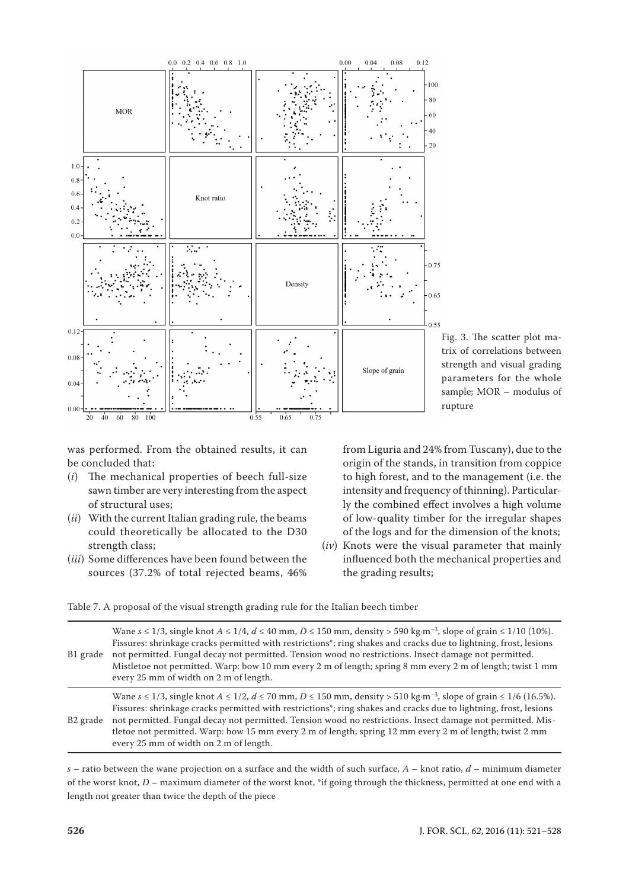

Fig. 3. The scatter plot matrix of correlations between strength and visual grading parameters for the whole sample; MOR – modulus of rupture

was performed. From the obtained results, it can be concluded that:

- (*i*) The mechanical properties of beech full-size sawn timber are very interesting from the aspect of structural uses;
- (*ii*) With the current Italian grading rule, the beams could theoretically be allocated to the D30 strength class;
- (*iii*) Some differences have been found between the sources (37.2% of total rejected beams, 46%

from Liguria and 24% from Tuscany), due to the origin of the stands, in transition from coppice to high forest, and to the management (i.e. the intensity and frequency of thinning). Particularly the combined effect involves a high volume of low-quality timber for the irregular shapes of the logs and for the dimension of the knots;

(*iv*) Knots were the visual parameter that mainly influenced both the mechanical properties and the grading results;

Table 7. A proposal of the visual strength grading rule for the Italian beech timber

| B1 grade             | Wane $s \le 1/3$ , single knot $A \le 1/4$ , $d \le 40$ mm, $D \le 150$ mm, density > 590 kg·m <sup>-3</sup> , slope of grain $\le 1/10$ (10%).<br>Fissures: shrinkage cracks permitted with restrictions <sup>*</sup> ; ring shakes and cracks due to lightning, frost, lesions<br>not permitted. Fungal decay not permitted. Tension wood no restrictions. Insect damage not permitted.<br>Mistletoe not permitted. Warp: bow 10 mm every 2 m of length; spring 8 mm every 2 m of length; twist 1 mm<br>every 25 mm of width on 2 m of length.     |
|----------------------|------------------------------------------------------------------------------------------------------------------------------------------------------------------------------------------------------------------------------------------------------------------------------------------------------------------------------------------------------------------------------------------------------------------------------------------------------------------------------------------------------------------------------------------------------|
| B <sub>2</sub> grade | Wane $s \le 1/3$ , single knot $A \le 1/2$ , $d \le 70$ mm, $D \le 150$ mm, density > 510 kg·m <sup>-3</sup> , slope of grain $\le 1/6$ (16.5%).<br>Fissures: shrinkage cracks permitted with restrictions <sup>*</sup> ; ring shakes and cracks due to lightning, frost, lesions<br>not permitted. Fungal decay not permitted. Tension wood no restrictions. Insect damage not permitted. Mis-<br>tletoe not permitted. Warp: bow 15 mm every 2 m of length; spring 12 mm every 2 m of length; twist 2 mm<br>every 25 mm of width on 2 m of length. |

*s* – ratio between the wane projection on a surface and the width of such surface, *A* – knot ratio, *d* – minimum diameter of the worst knot, *D* – maximum diameter of the worst knot, \*if going through the thickness, permitted at one end with a length not greater than twice the depth of the piece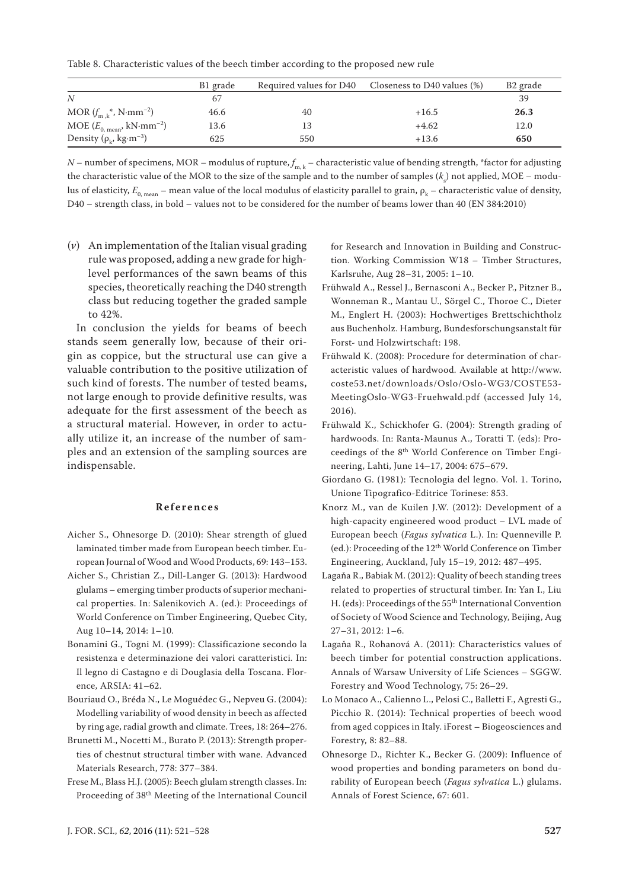Table 8. Characteristic values of the beech timber according to the proposed new rule

|                                                     | B1 grade | Required values for D40 | Closeness to D40 values (%) | B <sub>2</sub> grade |
|-----------------------------------------------------|----------|-------------------------|-----------------------------|----------------------|
| N                                                   | 67       |                         |                             | 39                   |
| MOR $(f_{m,k}^*$ , N·mm <sup>-2</sup> )             | 46.6     | 40                      | $+16.5$                     | 26.3                 |
| MOE $(E_{0, \text{mean}}, kN \cdot \text{mm}^{-2})$ | 13.6     | 13                      | $+4.62$                     | 12.0                 |
| Density ( $\rho_k$ , kg·m <sup>-3</sup> )           | 625      | 550                     | $+13.6$                     | 650                  |

*N* – number of specimens, MOR – modulus of rupture,  $f_{m,k}$  – characteristic value of bending strength, \*factor for adjusting the characteristic value of the MOR to the size of the sample and to the number of samples  $(k_{_\mathrm{s}})$  not applied, MOE – modulus of elasticity,  $E_{0_{\text{mean}}}$  – mean value of the local modulus of elasticity parallel to grain,  $\rho_k$  – characteristic value of density, D40 – strength class, in bold – values not to be considered for the number of beams lower than 40 (EN 384:2010)

(*v*) An implementation of the Italian visual grading rule was proposed, adding a new grade for highlevel performances of the sawn beams of this species, theoretically reaching the D40 strength class but reducing together the graded sample to 42%.

In conclusion the yields for beams of beech stands seem generally low, because of their origin as coppice, but the structural use can give a valuable contribution to the positive utilization of such kind of forests. The number of tested beams, not large enough to provide definitive results, was adequate for the first assessment of the beech as a structural material. However, in order to actually utilize it, an increase of the number of samples and an extension of the sampling sources are indispensable.

#### **References**

- Aicher S., Ohnesorge D. (2010): Shear strength of glued laminated timber made from European beech timber. European Journal of Wood and Wood Products, 69: 143–153.
- Aicher S., Christian Z., Dill-Langer G. (2013): Hardwood glulams – emerging timber products of superior mechanical properties. In: Salenikovich A. (ed.): Proceedings of World Conference on Timber Engineering, Quebec City, Aug 10–14, 2014: 1–10.
- Bonamini G., Togni M. (1999): Classificazione secondo la resistenza e determinazione dei valori caratteristici. In: Il legno di Castagno e di Douglasia della Toscana. Florence, ARSIA: 41–62.
- Bouriaud O., Bréda N., Le Moguédec G., Nepveu G. (2004): Modelling variability of wood density in beech as affected by ring age, radial growth and climate. Trees, 18: 264–276.
- Brunetti M., Nocetti M., Burato P. (2013): Strength properties of chestnut structural timber with wane. Advanced Materials Research, 778: 377–384.
- Frese M., Blass H.J. (2005): Beech glulam strength classes. In: Proceeding of 38th Meeting of the International Council

for Research and Innovation in Building and Construction. Working Commission W18 – Timber Structures, Karlsruhe, Aug 28–31, 2005: 1–10.

- Frühwald A., Ressel J., Bernasconi A., Becker P., Pitzner B., Wonneman R., Mantau U., Sörgel C., Thoroe C., Dieter M., Englert H. (2003): Hochwertiges Brettschichtholz aus Buchenholz. Hamburg, Bundesforschungsanstalt für Forst- und Holzwirtschaft: 198.
- Frühwald K. (2008): Procedure for determination of characteristic values of hardwood. Available at http://www. coste53.net/downloads/Oslo/Oslo-WG3/COSTE53- MeetingOslo-WG3-Fruehwald.pdf (accessed July 14, 2016).
- Frühwald K., Schickhofer G. (2004): Strength grading of hardwoods. In: Ranta-Maunus A., Toratti T. (eds): Proceedings of the 8th World Conference on Timber Engineering, Lahti, June 14–17, 2004: 675–679.
- Giordano G. (1981): Tecnologia del legno. Vol. 1. Torino, Unione Tipografico-Editrice Torinese: 853.
- Knorz M., van de Kuilen J.W. (2012): Development of a high-capacity engineered wood product – LVL made of European beech (*Fagus sylvatica* L.). In: Quenneville P. (ed.): Proceeding of the 12<sup>th</sup> World Conference on Timber Engineering, Auckland, July 15–19, 2012: 487–495.
- Lagaňa R., Babiak M. (2012): Quality of beech standing trees related to properties of structural timber. In: Yan I., Liu H. (eds): Proceedings of the 55th International Convention of Society of Wood Science and Technology, Beijing, Aug 27–31, 2012: 1–6.
- Lagaňa R., Rohanová A. (2011): Characteristics values of beech timber for potential construction applications. Annals of Warsaw University of Life Sciences – SGGW. Forestry and Wood Technology, 75: 26–29.
- Lo Monaco A., Calienno L., Pelosi C., Balletti F., Agresti G., Picchio R. (2014): Technical properties of beech wood from aged coppices in Italy. iForest – Biogeosciences and Forestry, 8: 82–88.
- Ohnesorge D., Richter K., Becker G. (2009): Influence of wood properties and bonding parameters on bond durability of European beech (*Fagus sylvatica* L.) glulams. Annals of Forest Science, 67: 601.